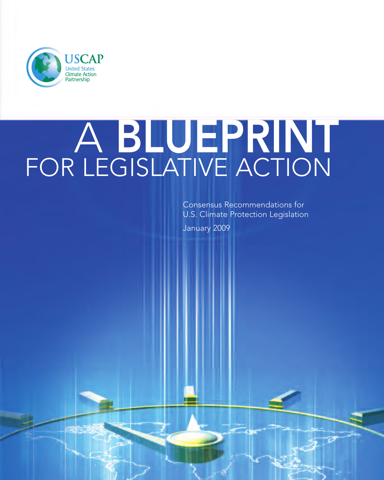

# A **BLUEPRINT** FOR LEGISLATIVE ACTION

Consensus Recommendations for U.S. Climate Protection Legislation

January 2009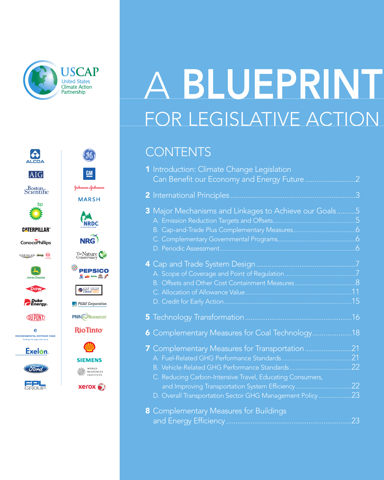

 $(96)$ 

 $GM$ 

Johnson-Johnson

**MARSH** 

**RAN**<br>NRDC

NRG)

The Nature

**PEPSICO** 

 $2 - m$ 

 $\bigotimes \frac{\sum_{k=1}^{n} \sum_{k=1}^{n} \sum_{k=1}^{n} k}{\text{Global}}}{\text{Student}}$ 

PG&E Corporation. **PNM**OResources

**RioTinto** 

**SIEMENS** 

WORLD<br>RESOURCES<br>INSTITUTE

 $X$ erox $\bullet$ 

ALCOA

**AIG** 

 $S_{\text{C}$  entific

**CATERPILLAR®** 

ConocoPhillips

CHRYSLER Jeep

 $\mathbf{z}$ 

**JOHN DEERE** DOW

**P**Duke<br> **PEnergy** 

**QUIPOND** 

 $\mathbf{e}$ *<u>ENVIRONMENTAL DEFENSE FUND</u>* 

Exelon.

(Ford)

EPU

bp

# FOR LEGISLATIVE ACTION A **BLUEPRINT**

### **CONTENTS**

| 1 Introduction: Climate Change Legislation<br>Can Benefit our Economy and Energy Future                                                                               | 2                |
|-----------------------------------------------------------------------------------------------------------------------------------------------------------------------|------------------|
| 2 International Principles                                                                                                                                            | .3               |
| 3 Major Mechanisms and Linkages to Achieve our Goals5                                                                                                                 |                  |
|                                                                                                                                                                       | $\overline{6}$   |
|                                                                                                                                                                       | .15              |
|                                                                                                                                                                       | 16               |
| <b>6</b> Complementary Measures for Coal Technology                                                                                                                   | 18               |
| 7 Complementary Measures for Transportation                                                                                                                           | 21<br>.21<br>.22 |
| C. Reducing Carbon-Intensive Travel, Educating Consumers,<br>and Improving Transportation System Efficiency<br>D. Overall Transportation Sector GHG Management Policy | 22<br>23         |
| <b>8</b> Complementary Measures for Buildings                                                                                                                         | 23               |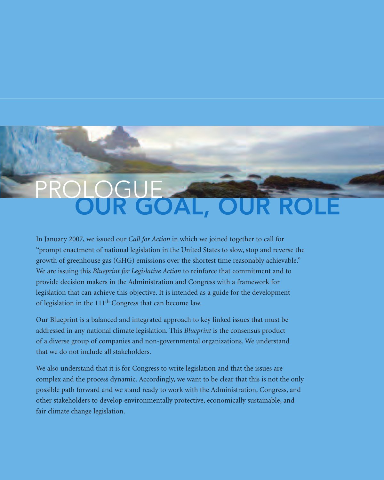## **OUR GOAL, OUR ROLE** PROLOGUE

In January 2007, we issued our *Call for Action* in which we joined together to call for "prompt enactment of national legislation in the United States to slow, stop and reverse the growth of greenhouse gas (GHG) emissions over the shortest time reasonably achievable." We are issuing this *Blueprint for Legislative Action* to reinforce that commitment and to provide decision makers in the Administration and Congress with a framework for legislation that can achieve this objective. It is intended as a guide for the development of legislation in the 111<sup>th</sup> Congress that can become law.

Our Blueprint is a balanced and integrated approach to key linked issues that must be addressed in any national climate legislation. This *Blueprint* is the consensus product of a diverse group of companies and non-governmental organizations. We understand that we do not include all stakeholders.

We also understand that it is for Congress to write legislation and that the issues are complex and the process dynamic. Accordingly, we want to be clear that this is not the only possible path forward and we stand ready to work with the Administration, Congress, and other stakeholders to develop environmentally protective, economically sustainable, and fair climate change legislation.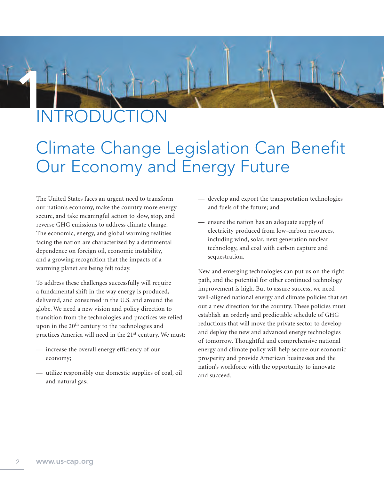

## **INTRODUCTION**

### Climate Change Legislation Can Benefit Our Economy and Energy Future

The United States faces an urgent need to transform our nation's economy, make the country more energy secure, and take meaningful action to slow, stop, and reverse GHG emissions to address climate change. The economic, energy, and global warming realities facing the nation are characterized by a detrimental dependence on foreign oil, economic instability, and a growing recognition that the impacts of a warming planet are being felt today.

To address these challenges successfully will require a fundamental shift in the way energy is produced, delivered, and consumed in the U.S. and around the globe. We need a new vision and policy direction to transition from the technologies and practices we relied upon in the 20<sup>th</sup> century to the technologies and practices America will need in the 21<sup>st</sup> century. We must:

- increase the overall energy efficiency of our economy;
- utilize responsibly our domestic supplies of coal, oil and natural gas;
- develop and export the transportation technologies and fuels of the future; and
- ensure the nation has an adequate supply of electricity produced from low-carbon resources, including wind, solar, next generation nuclear technology, and coal with carbon capture and sequestration.

New and emerging technologies can put us on the right path, and the potential for other continued technology improvement is high. But to assure success, we need well-aligned national energy and climate policies that set out a new direction for the country. These policies must establish an orderly and predictable schedule of GHG reductions that will move the private sector to develop and deploy the new and advanced energy technologies of tomorrow. Thoughtful and comprehensive national energy and climate policy will help secure our economic prosperity and provide American businesses and the nation's workforce with the opportunity to innovate and succeed.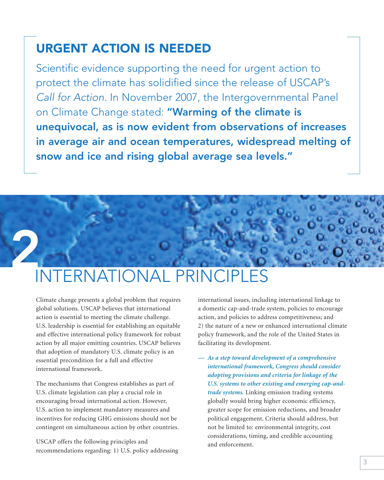### **URGENT ACTION IS NEEDED**

Scientific evidence supporting the need for urgent action to protect the climate has solidified since the release of USCAP's Call for Action. In November 2007, the Intergovernmental Panel on Climate Change stated: **"Warming of the climate is unequivocal, as is now evident from observations of increases in average air and ocean temperatures, widespread melting of snow and ice and rising global average sea levels."**

## **2** INTERNATIONAL PRINCIPLES

Climate change presents a global problem that requires global solutions. USCAP believes that international action is essential to meeting the climate challenge. U.S. leadership is essential for establishing an equitable and effective international policy framework for robust action by all major emitting countries. USCAP believes that adoption of mandatory U.S. climate policy is an essential precondition for a full and effective international framework.

The mechanisms that Congress establishes as part of U.S. climate legislation can play a crucial role in encouraging broad international action. However, U.S. action to implement mandatory measures and incentives for reducing GHG emissions should not be contingent on simultaneous action by other countries.

USCAP offers the following principles and recommendations regarding: 1) U.S. policy addressing international issues, including international linkage to a domestic cap-and-trade system, policies to encourage action, and policies to address competitiveness; and 2) the nature of a new or enhanced international climate policy framework, and the role of the United States in facilitating its development.

*— As a step toward development of a comprehensive international framework, Congress should consider adopting provisions and criteria for linkage of the U.S. systems to other existing and emerging cap-andtrade systems.* Linking emission trading systems globally would bring higher economic efficiency, greater scope for emission reductions, and broader political engagement. Criteria should address, but not be limited to: environmental integrity, cost considerations, timing, and credible accounting and enforcement.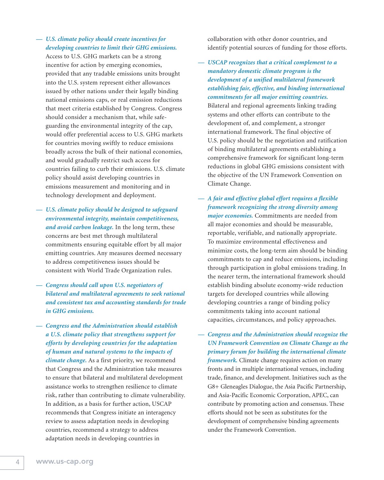#### *— U.S. climate policy should create incentives for developing countries to limit their GHG emissions.*

Access to U.S. GHG markets can be a strong incentive for action by emerging economies, provided that any tradable emissions units brought into the U.S. system represent either allowances issued by other nations under their legally binding national emissions caps, or real emission reductions that meet criteria established by Congress. Congress should consider a mechanism that, while safeguarding the environmental integrity of the cap, would offer preferential access to U.S. GHG markets for countries moving swiftly to reduce emissions broadly across the bulk of their national economies, and would gradually restrict such access for countries failing to curb their emissions. U.S. climate policy should assist developing countries in emissions measurement and monitoring and in technology development and deployment.

*— U.S. climate policy should be designed to safeguard environmental integrity, maintain competitiveness, and avoid carbon leakage.* In the long term, these concerns are best met through multilateral commitments ensuring equitable effort by all major emitting countries. Any measures deemed necessary to address competitiveness issues should be consistent with World Trade Organization rules.

- *— Congress should call upon U.S. negotiators of bilateral and multilateral agreements to seek rational and consistent tax and accounting standards for trade in GHG emissions.*
- *Congress and the Administration should establish a U.S. climate policy that strengthens support for efforts by developing countries for the adaptation of human and natural systems to the impacts of climate change.* As a first priority, we recommend that Congress and the Administration take measures to ensure that bilateral and multilateral development assistance works to strengthen resilience to climate risk, rather than contributing to climate vulnerability. In addition, as a basis for further action, USCAP recommends that Congress initiate an interagency review to assess adaptation needs in developing countries, recommend a strategy to address adaptation needs in developing countries in

collaboration with other donor countries, and identify potential sources of funding for those efforts.

*— USCAP recognizes that a critical complement to a mandatory domestic climate program is the development of a unified multilateral framework establishing fair, effective, and binding international commitments for all major emitting countries.* Bilateral and regional agreements linking trading systems and other efforts can contribute to the development of, and complement, a stronger international framework. The final objective of U.S. policy should be the negotiation and ratification of binding multilateral agreements establishing a comprehensive framework for significant long-term reductions in global GHG emissions consistent with the objective of the UN Framework Convention on Climate Change.

- *— A fair and effective global effort requires a flexible framework recognizing the strong diversity among major economies.* Commitments are needed from all major economies and should be measurable, reportable, verifiable, and nationally appropriate. To maximize environmental effectiveness and minimize costs, the long-term aim should be binding commitments to cap and reduce emissions, including through participation in global emissions trading. In the nearer term, the international framework should establish binding absolute economy-wide reduction targets for developed countries while allowing developing countries a range of binding policy commitments taking into account national capacities, circumstances, and policy approaches.
- *— Congress and the Administration should recognize the UN Framework Convention on Climate Change as the primary forum for building the international climate framework.* Climate change requires action on many fronts and in multiple international venues, including trade, finance, and development. Initiatives such as the G8+ Gleneagles Dialogue, the Asia Pacific Partnership, and Asia-Pacific Economic Corporation, APEC, can contribute by promoting action and consensus. These efforts should not be seen as substitutes for the development of comprehensive binding agreements under the Framework Convention.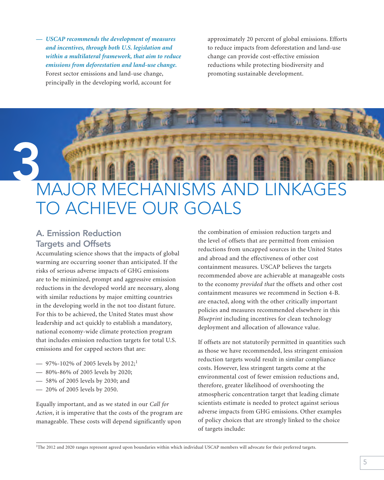*— USCAP recommends the development of measures and incentives, through both U.S. legislation and within a multilateral framework, that aim to reduce emissions from deforestation and land-use change.* Forest sector emissions and land-use change, principally in the developing world, account for

approximately 20 percent of global emissions. Efforts to reduce impacts from deforestation and land-use change can provide cost-effective emission reductions while protecting biodiversity and promoting sustainable development.

## **3** MAJOR MECHANISMS AND LINKAGES TO ACHIEVE OUR GOALS

#### **A. Emission Reduction Targets and Offsets**

Accumulating science shows that the impacts of global warming are occurring sooner than anticipated. If the risks of serious adverse impacts of GHG emissions are to be minimized, prompt and aggressive emission reductions in the developed world are necessary, along with similar reductions by major emitting countries in the developing world in the not too distant future. For this to be achieved, the United States must show leadership and act quickly to establish a mandatory, national economy-wide climate protection program that includes emission reduction targets for total U.S. emissions and for capped sectors that are:

- 97%-102% of 2005 levels by  $2012;^1$
- 80%-86% of 2005 levels by 2020;
- 58% of 2005 levels by 2030; and
- 20% of 2005 levels by 2050.

Equally important, and as we stated in our *Call for Action*, it is imperative that the costs of the program are manageable. These costs will depend significantly upon

the combination of emission reduction targets and the level of offsets that are permitted from emission reductions from uncapped sources in the United States and abroad and the effectiveness of other cost containment measures. USCAP believes the targets recommended above are achievable at manageable costs to the economy *provided that* the offsets and other cost containment measures we recommend in Section 4-B. are enacted, along with the other critically important policies and measures recommended elsewhere in this *Blueprint* including incentives for clean technology deployment and allocation of allowance value.

If offsets are not statutorily permitted in quantities such as those we have recommended, less stringent emission reduction targets would result in similar compliance costs. However, less stringent targets come at the environmental cost of fewer emission reductions and, therefore, greater likelihood of overshooting the atmospheric concentration target that leading climate scientists estimate is needed to protect against serious adverse impacts from GHG emissions. Other examples of policy choices that are strongly linked to the choice of targets include:

<sup>1</sup>The 2012 and 2020 ranges represent agreed upon boundaries within which individual USCAP members will advocate for their preferred targets.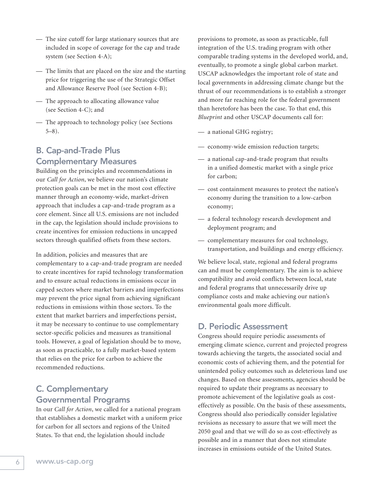- The size cutoff for large stationary sources that are included in scope of coverage for the cap and trade system (see Section 4-A);
- The limits that are placed on the size and the starting price for triggering the use of the Strategic Offset and Allowance Reserve Pool (see Section 4-B);
- The approach to allocating allowance value (see Section 4-C); and
- The approach to technology policy (see Sections 5–8).

#### **B. Cap-and-Trade Plus Complementary Measures**

Building on the principles and recommendations in our *Call for Action*, we believe our nation's climate protection goals can be met in the most cost effective manner through an economy-wide, market-driven approach that includes a cap-and-trade program as a core element. Since all U.S. emissions are not included in the cap, the legislation should include provisions to create incentives for emission reductions in uncapped sectors through qualified offsets from these sectors.

In addition, policies and measures that are complementary to a cap-and-trade program are needed to create incentives for rapid technology transformation and to ensure actual reductions in emissions occur in capped sectors where market barriers and imperfections may prevent the price signal from achieving significant reductions in emissions within those sectors. To the extent that market barriers and imperfections persist, it may be necessary to continue to use complementary sector-specific policies and measures as transitional tools. However, a goal of legislation should be to move, as soon as practicable, to a fully market-based system that relies on the price for carbon to achieve the recommended reductions.

#### **C. Complementary Governmental Programs**

In our *Call for Action*, we called for a national program that establishes a domestic market with a uniform price for carbon for all sectors and regions of the United States. To that end, the legislation should include

provisions to promote, as soon as practicable, full integration of the U.S. trading program with other comparable trading systems in the developed world, and, eventually, to promote a single global carbon market. USCAP acknowledges the important role of state and local governments in addressing climate change but the thrust of our recommendations is to establish a stronger and more far reaching role for the federal government than heretofore has been the case. To that end, this *Blueprint* and other USCAP documents call for:

- a national GHG registry;
- economy-wide emission reduction targets;
- a national cap-and-trade program that results in a unified domestic market with a single price for carbon;
- cost containment measures to protect the nation's economy during the transition to a low-carbon economy;
- a federal technology research development and deployment program; and
- complementary measures for coal technology, transportation, and buildings and energy efficiency.

We believe local, state, regional and federal programs can and must be complementary. The aim is to achieve compatibility and avoid conflicts between local, state and federal programs that unnecessarily drive up compliance costs and make achieving our nation's environmental goals more difficult.

#### **D. Periodic Assessment**

Congress should require periodic assessments of emerging climate science, current and projected progress towards achieving the targets, the associated social and economic costs of achieving them, and the potential for unintended policy outcomes such as deleterious land use changes. Based on these assessments, agencies should be required to update their programs as necessary to promote achievement of the legislative goals as costeffectively as possible. On the basis of these assessments, Congress should also periodically consider legislative revisions as necessary to assure that we will meet the 2050 goal and that we will do so as cost-effectively as possible and in a manner that does not stimulate increases in emissions outside of the United States.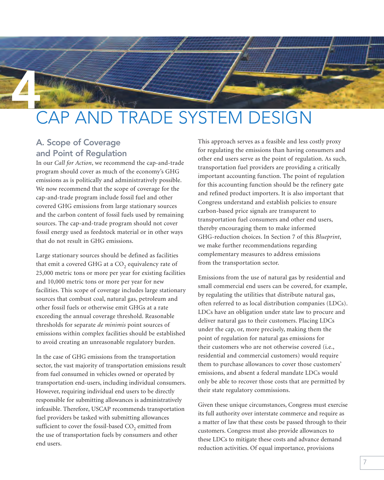## **4** CAP AND TRADE SYSTEM DESIGN

#### **A. Scope of Coverage and Point of Regulation**

In our *Call for Action*, we recommend the cap-and-trade program should cover as much of the economy's GHG emissions as is politically and administratively possible. We now recommend that the scope of coverage for the cap-and-trade program include fossil fuel and other covered GHG emissions from large stationary sources and the carbon content of fossil fuels used by remaining sources. The cap-and-trade program should not cover fossil energy used as feedstock material or in other ways that do not result in GHG emissions.

Large stationary sources should be defined as facilities that emit a covered GHG at a  $CO<sub>2</sub>$  equivalency rate of 25,000 metric tons or more per year for existing facilities and 10,000 metric tons or more per year for new facilities. This scope of coverage includes large stationary sources that combust coal, natural gas, petroleum and other fossil fuels or otherwise emit GHGs at a rate exceeding the annual coverage threshold. Reasonable thresholds for separate *de minimis* point sources of emissions within complex facilities should be established to avoid creating an unreasonable regulatory burden.

In the case of GHG emissions from the transportation sector, the vast majority of transportation emissions result from fuel consumed in vehicles owned or operated by transportation end-users, including individual consumers. However, requiring individual end users to be directly responsible for submitting allowances is administratively infeasible. Therefore, USCAP recommends transportation fuel providers be tasked with submitting allowances sufficient to cover the fossil-based  $CO$ , emitted from the use of transportation fuels by consumers and other end users.

This approach serves as a feasible and less costly proxy for regulating the emissions than having consumers and other end users serve as the point of regulation. As such, transportation fuel providers are providing a critically important accounting function. The point of regulation for this accounting function should be the refinery gate and refined product importers. It is also important that Congress understand and establish policies to ensure carbon-based price signals are transparent to transportation fuel consumers and other end users, thereby encouraging them to make informed GHG-reduction choices. In Section 7 of this *Blueprint*, we make further recommendations regarding complementary measures to address emissions from the transportation sector.

Emissions from the use of natural gas by residential and small commercial end users can be covered, for example, by regulating the utilities that distribute natural gas, often referred to as local distribution companies (LDCs). LDCs have an obligation under state law to procure and deliver natural gas to their customers. Placing LDCs under the cap, or, more precisely, making them the point of regulation for natural gas emissions for their customers who are not otherwise covered (i.e., residential and commercial customers) would require them to purchase allowances to cover those customers' emissions, and absent a federal mandate LDCs would only be able to recover those costs that are permitted by their state regulatory commissions.

Given these unique circumstances, Congress must exercise its full authority over interstate commerce and require as a matter of law that these costs be passed through to their customers. Congress must also provide allowances to these LDCs to mitigate these costs and advance demand reduction activities. Of equal importance, provisions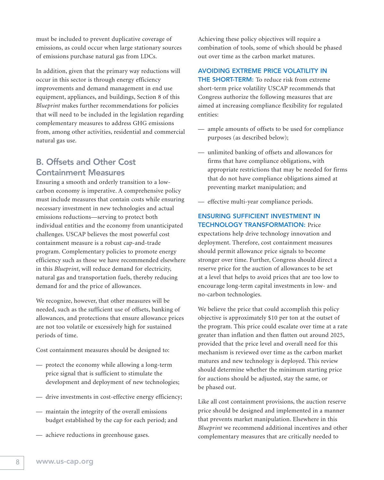must be included to prevent duplicative coverage of emissions, as could occur when large stationary sources of emissions purchase natural gas from LDCs.

In addition, given that the primary way reductions will occur in this sector is through energy efficiency improvements and demand management in end use equipment, appliances, and buildings, Section 8 of this *Blueprint* makes further recommendations for policies that will need to be included in the legislation regarding complementary measures to address GHG emissions from, among other activities, residential and commercial natural gas use.

#### **B. Offsets and Other Cost Containment Measures**

Ensuring a smooth and orderly transition to a lowcarbon economy is imperative. A comprehensive policy must include measures that contain costs while ensuring necessary investment in new technologies and actual emissions reductions—serving to protect both individual entities and the economy from unanticipated challenges. USCAP believes the most powerful cost containment measure is a robust cap-and-trade program. Complementary policies to promote energy efficiency such as those we have recommended elsewhere in this *Blueprint*, will reduce demand for electricity, natural gas and transportation fuels, thereby reducing demand for and the price of allowances.

We recognize, however, that other measures will be needed, such as the sufficient use of offsets, banking of allowances, and protections that ensure allowance prices are not too volatile or excessively high for sustained periods of time.

Cost containment measures should be designed to:

- protect the economy while allowing a long-term price signal that is sufficient to stimulate the development and deployment of new technologies;
- drive investments in cost-effective energy efficiency;
- maintain the integrity of the overall emissions budget established by the cap for each period; and
- achieve reductions in greenhouse gases.

Achieving these policy objectives will require a combination of tools, some of which should be phased out over time as the carbon market matures.

#### **AVOIDING EXTREME PRICE VOLATILITY IN**

**THE SHORT-TERM:** To reduce risk from extreme short-term price volatility USCAP recommends that Congress authorize the following measures that are aimed at increasing compliance flexibility for regulated entities:

- ample amounts of offsets to be used for compliance purposes (as described below);
- unlimited banking of offsets and allowances for firms that have compliance obligations, with appropriate restrictions that may be needed for firms that do not have compliance obligations aimed at preventing market manipulation; and
- effective multi-year compliance periods.

#### **ENSURING SUFFICIENT INVESTMENT IN TECHNOLOGY TRANSFORMATION:** Price

expectations help drive technology innovation and deployment. Therefore, cost containment measures should permit allowance price signals to become stronger over time. Further, Congress should direct a reserve price for the auction of allowances to be set at a level that helps to avoid prices that are too low to encourage long-term capital investments in low- and no-carbon technologies.

We believe the price that could accomplish this policy objective is approximately \$10 per ton at the outset of the program. This price could escalate over time at a rate greater than inflation and then flatten out around 2025, provided that the price level and overall need for this mechanism is reviewed over time as the carbon market matures and new technology is deployed. This review should determine whether the minimum starting price for auctions should be adjusted, stay the same, or be phased out.

Like all cost containment provisions, the auction reserve price should be designed and implemented in a manner that prevents market manipulation. Elsewhere in this *Blueprint* we recommend additional incentives and other complementary measures that are critically needed to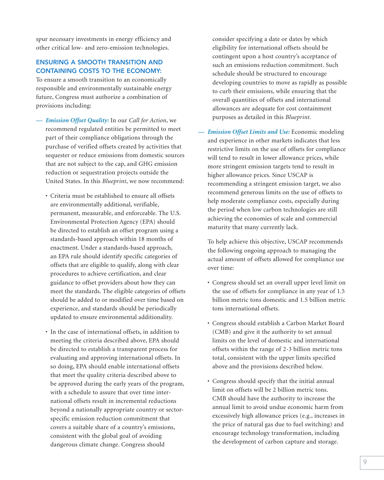spur necessary investments in energy efficiency and other critical low- and zero-emission technologies.

#### **ENSURING A SMOOTH TRANSITION AND CONTAINING COSTS TO THE ECONOMY:**

To ensure a smooth transition to an economically responsible and environmentally sustainable energy future, Congress must authorize a combination of provisions including:

- *Emission Offset Quality:* In our *Call for Action*, we recommend regulated entities be permitted to meet part of their compliance obligations through the purchase of verified offsets created by activities that sequester or reduce emissions from domestic sources that are not subject to the cap, and GHG emission reduction or sequestration projects outside the United States. In this *Blueprint*, we now recommend:
	- Criteria must be established to ensure all offsets are environmentally additional, verifiable, permanent, measurable, and enforceable. The U.S. Environmental Protection Agency (EPA) should be directed to establish an offset program using a standards-based approach within 18 months of enactment. Under a standards-based approach, an EPA rule should identify specific categories of offsets that are eligible to qualify, along with clear procedures to achieve certification, and clear guidance to offset providers about how they can meet the standards. The eligible categories of offsets should be added to or modified over time based on experience, and standards should be periodically updated to ensure environmental additionality.
	- In the case of international offsets, in addition to meeting the criteria described above, EPA should be directed to establish a transparent process for evaluating and approving international offsets. In so doing, EPA should enable international offsets that meet the quality criteria described above to be approved during the early years of the program, with a schedule to assure that over time international offsets result in incremental reductions beyond a nationally appropriate country or sectorspecific emission reduction commitment that covers a suitable share of a country's emissions, consistent with the global goal of avoiding dangerous climate change. Congress should

consider specifying a date or dates by which eligibility for international offsets should be contingent upon a host country's acceptance of such an emissions reduction commitment. Such schedule should be structured to encourage developing countries to move as rapidly as possible to curb their emissions, while ensuring that the overall quantities of offsets and international allowances are adequate for cost containment purposes as detailed in this *Blueprint*.

*— Emission Offset Limits and Use:* Economic modeling and experience in other markets indicates that less restrictive limits on the use of offsets for compliance will tend to result in lower allowance prices, while more stringent emission targets tend to result in higher allowance prices. Since USCAP is recommending a stringent emission target, we also recommend generous limits on the use of offsets to help moderate compliance costs, especially during the period when low carbon technologies are still achieving the economies of scale and commercial maturity that many currently lack.

To help achieve this objective, USCAP recommends the following ongoing approach to managing the actual amount of offsets allowed for compliance use over time:

- Congress should set an overall upper level limit on the use of offsets for compliance in any year of 1.5 billion metric tons domestic and 1.5 billion metric tons international offsets.
- Congress should establish a Carbon Market Board (CMB) and give it the authority to set annual limits on the level of domestic and international offsets within the range of 2-3 billion metric tons total, consistent with the upper limits specified above and the provisions described below.
- Congress should specify that the initial annual limit on offsets will be 2 billion metric tons. CMB should have the authority to increase the annual limit to avoid undue economic harm from excessively high allowance prices (e.g., increases in the price of natural gas due to fuel switching) and encourage technology transformation, including the development of carbon capture and storage.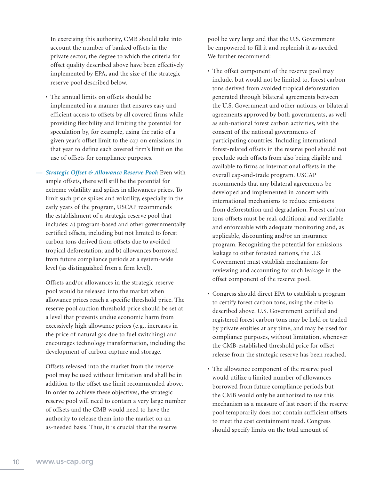In exercising this authority, CMB should take into account the number of banked offsets in the private sector, the degree to which the criteria for offset quality described above have been effectively implemented by EPA, and the size of the strategic reserve pool described below.

• The annual limits on offsets should be implemented in a manner that ensures easy and efficient access to offsets by all covered firms while providing flexibility and limiting the potential for speculation by, for example, using the ratio of a given year's offset limit to the cap on emissions in that year to define each covered firm's limit on the use of offsets for compliance purposes.

*— Strategic Offset & Allowance Reserve Pool:* Even with ample offsets, there will still be the potential for extreme volatility and spikes in allowances prices. To limit such price spikes and volatility, especially in the early years of the program, USCAP recommends the establishment of a strategic reserve pool that includes: a) program-based and other governmentally certified offsets, including but not limited to forest carbon tons derived from offsets due to avoided tropical deforestation; and b) allowances borrowed from future compliance periods at a system-wide level (as distinguished from a firm level).

Offsets and/or allowances in the strategic reserve pool would be released into the market when allowance prices reach a specific threshold price. The reserve pool auction threshold price should be set at a level that prevents undue economic harm from excessively high allowance prices (e.g., increases in the price of natural gas due to fuel switching) and encourages technology transformation, including the development of carbon capture and storage.

Offsets released into the market from the reserve pool may be used without limitation and shall be in addition to the offset use limit recommended above. In order to achieve these objectives, the strategic reserve pool will need to contain a very large number of offsets and the CMB would need to have the authority to release them into the market on an as-needed basis. Thus, it is crucial that the reserve

pool be very large and that the U.S. Government be empowered to fill it and replenish it as needed. We further recommend:

- The offset component of the reserve pool may include, but would not be limited to, forest carbon tons derived from avoided tropical deforestation generated through bilateral agreements between the U.S. Government and other nations, or bilateral agreements approved by both governments, as well as sub-national forest carbon activities, with the consent of the national governments of participating countries. Including international forest-related offsets in the reserve pool should not preclude such offsets from also being eligible and available to firms as international offsets in the overall cap-and-trade program. USCAP recommends that any bilateral agreements be developed and implemented in concert with international mechanisms to reduce emissions from deforestation and degradation. Forest carbon tons offsets must be real, additional and verifiable and enforceable with adequate monitoring and, as applicable, discounting and/or an insurance program. Recognizing the potential for emissions leakage to other forested nations, the U.S. Government must establish mechanisms for reviewing and accounting for such leakage in the offset component of the reserve pool.
- Congress should direct EPA to establish a program to certify forest carbon tons, using the criteria described above. U.S. Government certified and registered forest carbon tons may be held or traded by private entities at any time, and may be used for compliance purposes, without limitation, whenever the CMB-established threshold price for offset release from the strategic reserve has been reached.
- The allowance component of the reserve pool would utilize a limited number of allowances borrowed from future compliance periods but the CMB would only be authorized to use this mechanism as a measure of last resort if the reserve pool temporarily does not contain sufficient offsets to meet the cost containment need. Congress should specify limits on the total amount of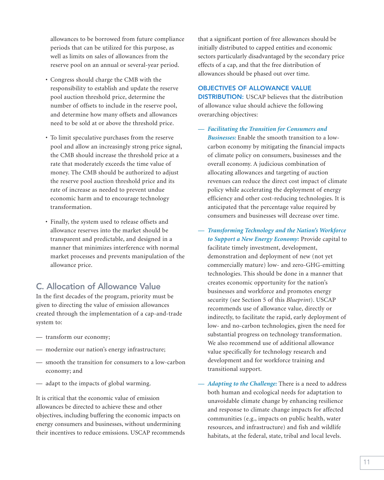allowances to be borrowed from future compliance periods that can be utilized for this purpose, as well as limits on sales of allowances from the reserve pool on an annual or several-year period.

- Congress should charge the CMB with the responsibility to establish and update the reserve pool auction threshold price, determine the number of offsets to include in the reserve pool, and determine how many offsets and allowances need to be sold at or above the threshold price.
- To limit speculative purchases from the reserve pool and allow an increasingly strong price signal, the CMB should increase the threshold price at a rate that moderately exceeds the time value of money. The CMB should be authorized to adjust the reserve pool auction threshold price and its rate of increase as needed to prevent undue economic harm and to encourage technology transformation.
- Finally, the system used to release offsets and allowance reserves into the market should be transparent and predictable, and designed in a manner that minimizes interference with normal market processes and prevents manipulation of the allowance price.

#### **C. Allocation of Allowance Value**

In the first decades of the program, priority must be given to directing the value of emission allowances created through the implementation of a cap-and-trade system to:

- transform our economy;
- modernize our nation's energy infrastructure;
- smooth the transition for consumers to a low-carbon economy; and
- adapt to the impacts of global warming.

It is critical that the economic value of emission allowances be directed to achieve these and other objectives, including buffering the economic impacts on energy consumers and businesses, without undermining their incentives to reduce emissions. USCAP recommends that a significant portion of free allowances should be initially distributed to capped entities and economic sectors particularly disadvantaged by the secondary price effects of a cap, and that the free distribution of allowances should be phased out over time.

#### **OBJECTIVES OF ALLOWANCE VALUE**

**DISTRIBUTION:** USCAP believes that the distribution of allowance value should achieve the following overarching objectives:

*— Facilitating the Transition for Consumers and*

*Businesses:* Enable the smooth transition to a lowcarbon economy by mitigating the financial impacts of climate policy on consumers, businesses and the overall economy. A judicious combination of allocating allowances and targeting of auction revenues can reduce the direct cost impact of climate policy while accelerating the deployment of energy efficiency and other cost-reducing technologies. It is anticipated that the percentage value required by consumers and businesses will decrease over time.

- *Transforming Technology and the Nation's Workforce to Support a New Energy Economy:* Provide capital to facilitate timely investment, development, demonstration and deployment of new (not yet commercially mature) low- and zero-GHG-emitting technologies. This should be done in a manner that creates economic opportunity for the nation's businesses and workforce and promotes energy security (see Section 5 of this *Blueprint*). USCAP recommends use of allowance value, directly or indirectly, to facilitate the rapid, early deployment of low- and no-carbon technologies, given the need for substantial progress on technology transformation. We also recommend use of additional allowance value specifically for technology research and development and for workforce training and transitional support.
- *— Adapting to the Challenge:* There is a need to address both human and ecological needs for adaptation to unavoidable climate change by enhancing resilience and response to climate change impacts for affected communities (e.g., impacts on public health, water resources, and infrastructure) and fish and wildlife habitats, at the federal, state, tribal and local levels.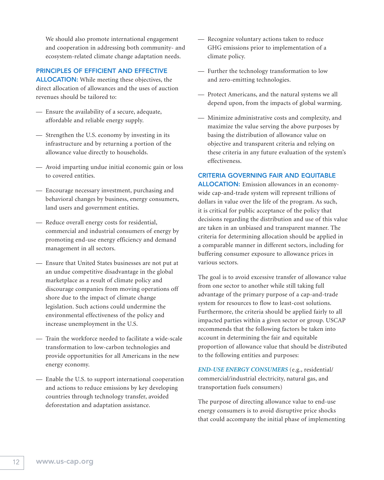We should also promote international engagement and cooperation in addressing both community- and ecosystem-related climate change adaptation needs.

#### **PRINCIPLES OF EFFICIENT AND EFFECTIVE**

**ALLOCATION:** While meeting these objectives, the direct allocation of allowances and the uses of auction revenues should be tailored to:

- Ensure the availability of a secure, adequate, affordable and reliable energy supply.
- Strengthen the U.S. economy by investing in its infrastructure and by returning a portion of the allowance value directly to households.
- Avoid imparting undue initial economic gain or loss to covered entities.
- Encourage necessary investment, purchasing and behavioral changes by business, energy consumers, land users and government entities.
- Reduce overall energy costs for residential, commercial and industrial consumers of energy by promoting end-use energy efficiency and demand management in all sectors.
- Ensure that United States businesses are not put at an undue competitive disadvantage in the global marketplace as a result of climate policy and discourage companies from moving operations off shore due to the impact of climate change legislation. Such actions could undermine the environmental effectiveness of the policy and increase unemployment in the U.S.
- Train the workforce needed to facilitate a wide-scale transformation to low-carbon technologies and provide opportunities for all Americans in the new energy economy.
- Enable the U.S. to support international cooperation and actions to reduce emissions by key developing countries through technology transfer, avoided deforestation and adaptation assistance.
- Recognize voluntary actions taken to reduce GHG emissions prior to implementation of a climate policy.
- Further the technology transformation to low and zero-emitting technologies.
- Protect Americans, and the natural systems we all depend upon, from the impacts of global warming.
- Minimize administrative costs and complexity, and maximize the value serving the above purposes by basing the distribution of allowance value on objective and transparent criteria and relying on these criteria in any future evaluation of the system's effectiveness.

#### **CRITERIA GOVERNING FAIR AND EQUITABLE**

**ALLOCATION:** Emission allowances in an economywide cap-and-trade system will represent trillions of dollars in value over the life of the program. As such, it is critical for public acceptance of the policy that decisions regarding the distribution and use of this value are taken in an unbiased and transparent manner. The criteria for determining allocation should be applied in a comparable manner in different sectors, including for buffering consumer exposure to allowance prices in various sectors.

The goal is to avoid excessive transfer of allowance value from one sector to another while still taking full advantage of the primary purpose of a cap-and-trade system for resources to flow to least-cost solutions. Furthermore, the criteria should be applied fairly to all impacted parties within a given sector or group. USCAP recommends that the following factors be taken into account in determining the fair and equitable proportion of allowance value that should be distributed to the following entities and purposes:

*END-USE ENERGY CONSUMERS* (e.g., residential/ commercial/industrial electricity, natural gas, and transportation fuels consumers)

The purpose of directing allowance value to end-use energy consumers is to avoid disruptive price shocks that could accompany the initial phase of implementing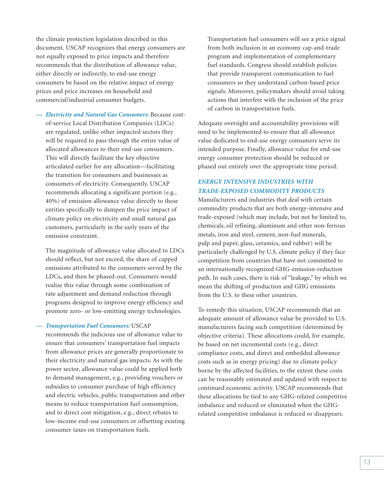the climate protection legislation described in this document. USCAP recognizes that energy consumers are not equally exposed to price impacts and therefore recommends that the distribution of allowance value, either directly or indirectly, to end-use energy consumers be based on the relative impact of energy prices and price increases on household and commercial/industrial consumer budgets.

*— Electricity and Natural Gas Consumers:* Because costof-service Local Distribution Companies (LDCs) are regulated, unlike other impacted sectors they will be required to pass through the entire value of allocated allowances to their end-use consumers. This will directly facilitate the key objective articulated earlier for any allocation—facilitating the transition for consumers and businesses as consumers of electricity. Consequently, USCAP recommends allocating a significant portion (e.g., 40%) of emission allowance value directly to these entities specifically to dampen the price impact of climate policy on electricity and small natural gas customers, particularly in the early years of the emission constraint.

The magnitude of allowance value allocated to LDCs should reflect, but not exceed, the share of capped emissions attributed to the consumers served by the LDCs, and then be phased-out. Consumers would realize this value through some combination of rate adjustment and demand reduction through programs designed to improve energy efficiency and promote zero- or low-emitting energy technologies.

*— Transportation Fuel Consumers:* USCAP

recommends the judicious use of allowance value to ensure that consumers' transportation fuel impacts from allowance prices are generally proportionate to their electricity and natural gas impacts. As with the power sector, allowance value could be applied both to demand management, e.g., providing vouchers or subsidies to consumer purchase of high efficiency and electric vehicles, public transportation and other means to reduce transportation fuel consumption, and to direct cost mitigation, e.g., direct rebates to low-income end-use consumers or offsetting existing consumer taxes on transportation fuels.

Transportation fuel consumers will see a price signal from both inclusion in an economy cap-and-trade program and implementation of complementary fuel standards. Congress should establish policies that provide transparent communication to fuel consumers so they understand carbon-based price signals. Moreover, policymakers should avoid taking actions that interfere with the inclusion of the price of carbon in transportation fuels.

Adequate oversight and accountability provisions will need to be implemented to ensure that all allowance value dedicated to end-use energy consumers serve its intended purpose. Finally, allowance value for end-use energy consumer protection should be reduced or phased out entirely over the appropriate time period.

#### *ENERGY INTENSIVE INDUSTRIES WITH TRADE-EXPOSED COMMODITY PRODUCTS*

Manufacturers and industries that deal with certain commodity products that are both energy-intensive and trade-exposed (which may include, but not be limited to, chemicals, oil refining, aluminum and other non-ferrous metals, iron and steel, cement, non-fuel minerals, pulp and paper, glass, ceramics, and rubber) will be particularly challenged by U.S. climate policy if they face competition from countries that have not committed to an internationally recognized GHG-emission-reduction path. In such cases, there is risk of "leakage," by which we mean the shifting of production and GHG emissions from the U.S. to these other countries.

To remedy this situation, USCAP recommends that an adequate amount of allowance value be provided to U.S. manufacturers facing such competition (determined by objective criteria). These allocations could, for example, be based on net incremental costs (e.g., direct compliance costs, and direct and embedded allowance costs such as in energy pricing) due to climate policy borne by the affected facilities, to the extent these costs can be reasonably estimated and updated with respect to continued economic activity. USCAP recommends that these allocations be tied to any GHG-related competitive imbalance and reduced or eliminated when the GHGrelated competitive imbalance is reduced or disappears.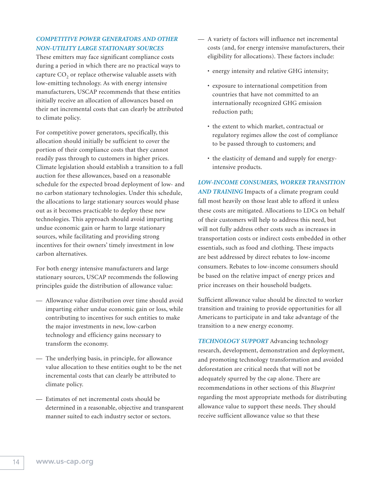#### *COMPETITIVE POWER GENERATORS AND OTHER NON-UTILITY LARGE STATIONARY SOURCES*

These emitters may face significant compliance costs during a period in which there are no practical ways to capture  $CO<sub>2</sub>$  or replace otherwise valuable assets with low-emitting technology. As with energy intensive manufacturers, USCAP recommends that these entities initially receive an allocation of allowances based on their net incremental costs that can clearly be attributed to climate policy.

For competitive power generators, specifically, this allocation should initially be sufficient to cover the portion of their compliance costs that they cannot readily pass through to customers in higher prices. Climate legislation should establish a transition to a full auction for these allowances, based on a reasonable schedule for the expected broad deployment of low- and no carbon stationary technologies. Under this schedule, the allocations to large stationary sources would phase out as it becomes practicable to deploy these new technologies. This approach should avoid imparting undue economic gain or harm to large stationary sources, while facilitating and providing strong incentives for their owners' timely investment in low carbon alternatives.

For both energy intensive manufacturers and large stationary sources, USCAP recommends the following principles guide the distribution of allowance value:

- Allowance value distribution over time should avoid imparting either undue economic gain or loss, while contributing to incentives for such entities to make the major investments in new, low-carbon technology and efficiency gains necessary to transform the economy.
- The underlying basis, in principle, for allowance value allocation to these entities ought to be the net incremental costs that can clearly be attributed to climate policy.
- Estimates of net incremental costs should be determined in a reasonable, objective and transparent manner suited to each industry sector or sectors.
- A variety of factors will influence net incremental costs (and, for energy intensive manufacturers, their eligibility for allocations). These factors include:
	- energy intensity and relative GHG intensity;
	- exposure to international competition from countries that have not committed to an internationally recognized GHG emission reduction path;
	- the extent to which market, contractual or regulatory regimes allow the cost of compliance to be passed through to customers; and
	- the elasticity of demand and supply for energyintensive products.

#### *LOW-INCOME CONSUMERS, WORKER TRANSITION*

*AND TRAINING* Impacts of a climate program could fall most heavily on those least able to afford it unless these costs are mitigated. Allocations to LDCs on behalf of their customers will help to address this need, but will not fully address other costs such as increases in transportation costs or indirect costs embedded in other essentials, such as food and clothing. These impacts are best addressed by direct rebates to low-income consumers. Rebates to low-income consumers should be based on the relative impact of energy prices and price increases on their household budgets.

Sufficient allowance value should be directed to worker transition and training to provide opportunities for all Americans to participate in and take advantage of the transition to a new energy economy.

*TECHNOLOGY SUPPORT* Advancing technology research, development, demonstration and deployment, and promoting technology transformation and avoided deforestation are critical needs that will not be adequately spurred by the cap alone. There are recommendations in other sections of this *Blueprint* regarding the most appropriate methods for distributing allowance value to support these needs. They should receive sufficient allowance value so that these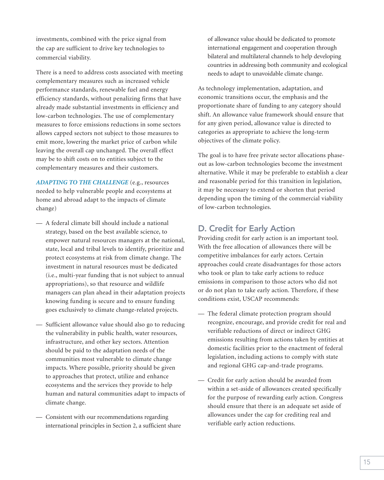investments, combined with the price signal from the cap are sufficient to drive key technologies to commercial viability.

There is a need to address costs associated with meeting complementary measures such as increased vehicle performance standards, renewable fuel and energy efficiency standards, without penalizing firms that have already made substantial investments in efficiency and low-carbon technologies. The use of complementary measures to force emissions reductions in some sectors allows capped sectors not subject to those measures to emit more, lowering the market price of carbon while leaving the overall cap unchanged. The overall effect may be to shift costs on to entities subject to the complementary measures and their customers.

*ADAPTING TO THE CHALLENGE* (e.g., resources needed to help vulnerable people and ecosystems at home and abroad adapt to the impacts of climate change)

- A federal climate bill should include a national strategy, based on the best available science, to empower natural resources managers at the national, state, local and tribal levels to identify, prioritize and protect ecosystems at risk from climate change. The investment in natural resources must be dedicated (i.e., multi-year funding that is not subject to annual appropriations), so that resource and wildlife managers can plan ahead in their adaptation projects knowing funding is secure and to ensure funding goes exclusively to climate change-related projects.
- Sufficient allowance value should also go to reducing the vulnerability in public health, water resources, infrastructure, and other key sectors. Attention should be paid to the adaptation needs of the communities most vulnerable to climate change impacts. Where possible, priority should be given to approaches that protect, utilize and enhance ecosystems and the services they provide to help human and natural communities adapt to impacts of climate change.
- Consistent with our recommendations regarding international principles in Section 2, a sufficient share

of allowance value should be dedicated to promote international engagement and cooperation through bilateral and multilateral channels to help developing countries in addressing both community and ecological needs to adapt to unavoidable climate change.

As technology implementation, adaptation, and economic transitions occur, the emphasis and the proportionate share of funding to any category should shift. An allowance value framework should ensure that for any given period, allowance value is directed to categories as appropriate to achieve the long-term objectives of the climate policy.

The goal is to have free private sector allocations phaseout as low-carbon technologies become the investment alternative. While it may be preferable to establish a clear and reasonable period for this transition in legislation, it may be necessary to extend or shorten that period depending upon the timing of the commercial viability of low-carbon technologies.

#### **D. Credit for Early Action**

Providing credit for early action is an important tool. With the free allocation of allowances there will be competitive imbalances for early actors. Certain approaches could create disadvantages for those actors who took or plan to take early actions to reduce emissions in comparison to those actors who did not or do not plan to take early action. Therefore, if these conditions exist, USCAP recommends:

- The federal climate protection program should recognize, encourage, and provide credit for real and verifiable reductions of direct or indirect GHG emissions resulting from actions taken by entities at domestic facilities prior to the enactment of federal legislation, including actions to comply with state and regional GHG cap-and-trade programs.
- Credit for early action should be awarded from within a set-aside of allowances created specifically for the purpose of rewarding early action. Congress should ensure that there is an adequate set aside of allowances under the cap for crediting real and verifiable early action reductions.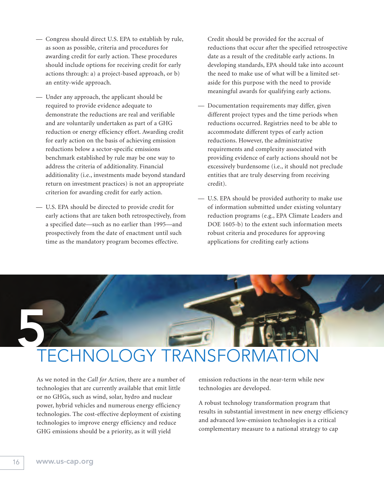- Congress should direct U.S. EPA to establish by rule, as soon as possible, criteria and procedures for awarding credit for early action. These procedures should include options for receiving credit for early actions through: a) a project-based approach, or b) an entity-wide approach.
- Under any approach, the applicant should be required to provide evidence adequate to demonstrate the reductions are real and verifiable and are voluntarily undertaken as part of a GHG reduction or energy efficiency effort. Awarding credit for early action on the basis of achieving emission reductions below a sector-specific emissions benchmark established by rule may be one way to address the criteria of additionality. Financial additionality (i.e., investments made beyond standard return on investment practices) is not an appropriate criterion for awarding credit for early action.
- U.S. EPA should be directed to provide credit for early actions that are taken both retrospectively, from a specified date—such as no earlier than 1995—and prospectively from the date of enactment until such time as the mandatory program becomes effective.

Credit should be provided for the accrual of reductions that occur after the specified retrospective date as a result of the creditable early actions. In developing standards, EPA should take into account the need to make use of what will be a limited setaside for this purpose with the need to provide meaningful awards for qualifying early actions.

- Documentation requirements may differ, given different project types and the time periods when reductions occurred. Registries need to be able to accommodate different types of early action reductions. However, the administrative requirements and complexity associated with providing evidence of early actions should not be excessively burdensome (i.e., it should not preclude entities that are truly deserving from receiving credit).
- U.S. EPA should be provided authority to make use of information submitted under existing voluntary reduction programs (e.g., EPA Climate Leaders and DOE 1605-b) to the extent such information meets robust criteria and procedures for approving applications for crediting early actions

## **5** TECHNOLOGY TRANSFORM.

As we noted in the *Call for Action*, there are a number of technologies that are currently available that emit little or no GHGs, such as wind, solar, hydro and nuclear power, hybrid vehicles and numerous energy efficiency technologies. The cost-effective deployment of existing technologies to improve energy efficiency and reduce GHG emissions should be a priority, as it will yield

emission reductions in the near-term while new technologies are developed.

A robust technology transformation program that results in substantial investment in new energy efficiency and advanced low-emission technologies is a critical complementary measure to a national strategy to cap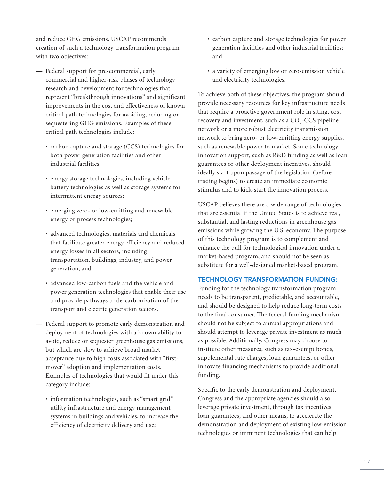and reduce GHG emissions. USCAP recommends creation of such a technology transformation program with two objectives:

- Federal support for pre-commercial, early commercial and higher-risk phases of technology research and development for technologies that represent "breakthrough innovations" and significant improvements in the cost and effectiveness of known critical path technologies for avoiding, reducing or sequestering GHG emissions. Examples of these critical path technologies include:
	- carbon capture and storage (CCS) technologies for both power generation facilities and other industrial facilities;
	- energy storage technologies, including vehicle battery technologies as well as storage systems for intermittent energy sources;
	- emerging zero- or low-emitting and renewable energy or process technologies;
	- advanced technologies, materials and chemicals that facilitate greater energy efficiency and reduced energy losses in all sectors, including transportation, buildings, industry, and power generation; and
	- advanced low-carbon fuels and the vehicle and power generation technologies that enable their use and provide pathways to de-carbonization of the transport and electric generation sectors.
- Federal support to promote early demonstration and deployment of technologies with a known ability to avoid, reduce or sequester greenhouse gas emissions, but which are slow to achieve broad market acceptance due to high costs associated with "firstmover" adoption and implementation costs. Examples of technologies that would fit under this category include:
	- information technologies, such as "smart grid" utility infrastructure and energy management systems in buildings and vehicles, to increase the efficiency of electricity delivery and use;
- carbon capture and storage technologies for power generation facilities and other industrial facilities; and
- a variety of emerging low or zero-emission vehicle and electricity technologies.

To achieve both of these objectives, the program should provide necessary resources for key infrastructure needs that require a proactive government role in siting, cost recovery and investment, such as a  $CO<sub>2</sub>-CCS$  pipeline network or a more robust electricity transmission network to bring zero- or low-emitting energy supplies, such as renewable power to market. Some technology innovation support, such as R&D funding as well as loan guarantees or other deployment incentives, should ideally start upon passage of the legislation (before trading begins) to create an immediate economic stimulus and to kick-start the innovation process.

USCAP believes there are a wide range of technologies that are essential if the United States is to achieve real, substantial, and lasting reductions in greenhouse gas emissions while growing the U.S. economy. The purpose of this technology program is to complement and enhance the pull for technological innovation under a market-based program, and should not be seen as substitute for a well-designed market-based program.

#### **TECHNOLOGY TRANSFORMATION FUNDING:**

Funding for the technology transformation program needs to be transparent, predictable, and accountable, and should be designed to help reduce long-term costs to the final consumer. The federal funding mechanism should not be subject to annual appropriations and should attempt to leverage private investment as much as possible. Additionally, Congress may choose to institute other measures, such as tax-exempt bonds, supplemental rate charges, loan guarantees, or other innovate financing mechanisms to provide additional funding.

Specific to the early demonstration and deployment, Congress and the appropriate agencies should also leverage private investment, through tax incentives, loan guarantees, and other means, to accelerate the demonstration and deployment of existing low-emission technologies or imminent technologies that can help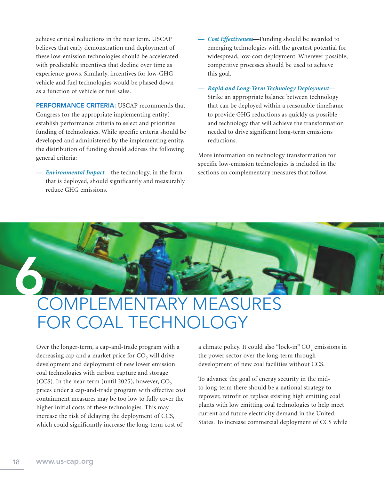achieve critical reductions in the near term. USCAP believes that early demonstration and deployment of these low-emission technologies should be accelerated with predictable incentives that decline over time as experience grows. Similarly, incentives for low-GHG vehicle and fuel technologies would be phased down as a function of vehicle or fuel sales.

**PERFORMANCE CRITERIA:** USCAP recommends that Congress (or the appropriate implementing entity) establish performance criteria to select and prioritize funding of technologies. While specific criteria should be developed and administered by the implementing entity, the distribution of funding should address the following general criteria:

*Environmental Impact*—the technology, in the form that is deployed, should significantly and measurably reduce GHG emissions.

- Cost Effectiveness-Funding should be awarded to emerging technologies with the greatest potential for widespread, low-cost deployment. Wherever possible, competitive processes should be used to achieve this goal.
- *Rapid and Long-Term Technology Deployment* Strike an appropriate balance between technology that can be deployed within a reasonable timeframe to provide GHG reductions as quickly as possible and technology that will achieve the transformation needed to drive significant long-term emissions reductions.

More information on technology transformation for specific low-emission technologies is included in the sections on complementary measures that follow.



### COMPLEMENTARY MEASURES FOR COAL TECHNOLOGY

Over the longer-term, a cap-and-trade program with a decreasing cap and a market price for  $CO<sub>2</sub>$  will drive development and deployment of new lower emission coal technologies with carbon capture and storage (CCS). In the near-term (until 2025), however,  $CO<sub>2</sub>$ prices under a cap-and-trade program with effective cost containment measures may be too low to fully cover the higher initial costs of these technologies. This may increase the risk of delaying the deployment of CCS, which could significantly increase the long-term cost of

a climate policy. It could also "lock-in" CO<sub>2</sub> emissions in the power sector over the long-term through development of new coal facilities without CCS.

To advance the goal of energy security in the midto long-term there should be a national strategy to repower, retrofit or replace existing high emitting coal plants with low emitting coal technologies to help meet current and future electricity demand in the United States. To increase commercial deployment of CCS while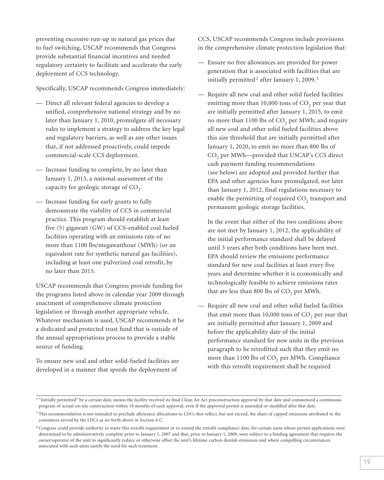preventing excessive run-up in natural gas prices due to fuel switching, USCAP recommends that Congress provide substantial financial incentives and needed regulatory certainty to facilitate and accelerate the early deployment of CCS technology.

Specifically, USCAP recommends Congress immediately:

- Direct all relevant federal agencies to develop a unified, comprehensive national strategy and by no later than January 1, 2010, promulgate all necessary rules to implement a strategy to address the key legal and regulatory barriers, as well as any other issues that, if not addressed proactively, could impede commercial-scale CCS deployment.
- Increase funding to complete, by no later than January 1, 2013, a national assessment of the capacity for geologic storage of  $CO<sub>2</sub>$ .
- Increase funding for early grants to fully demonstrate the viability of CCS in commercial practice. This program should establish at least five (5) gigawatt (GW) of CCS-enabled coal fueled facilities operating with an emissions rate of no more than 1100 lbs/megawatthour (MWh) (or an equivalent rate for synthetic natural gas facilities), including at least one pulverized coal retrofit, by no later than 2015.

USCAP recommends that Congress provide funding for the programs listed above in calendar year 2009 through enactment of comprehensive climate protection legislation or through another appropriate vehicle. Whatever mechanism is used, USCAP recommends it be a dedicated and protected trust fund that is outside of the annual appropriations process to provide a stable source of funding.

To ensure new coal and other solid-fueled facilities are developed in a manner that speeds the deployment of

CCS, USCAP recommends Congress include provisions in the comprehensive climate protection legislation that:

- Ensure no free allowances are provided for power generation that is associated with facilities that are initially permitted<sup>2</sup> after January 1, 2009.<sup>3</sup>
- Require all new coal and other solid fueled facilities emitting more than  $10,000$  tons of  $CO<sub>2</sub>$  per year that are initially permitted after January 1, 2015, to emit no more than 1100 lbs of CO<sub>2</sub> per MWh; and require all new coal and other solid fueled facilities above this size threshold that are initially permitted after January 1, 2020, to emit no more than 800 lbs of CO<sub>2</sub> per MWh--provided that USCAP's CCS direct cash payment funding recommendations (see below) are adopted and provided further that EPA and other agencies have promulgated, not later than January 1, 2012, final regulations necessary to enable the permitting of required CO<sub>2</sub> transport and permanent geologic storage facilities.

In the event that either of the two conditions above are not met by January 1, 2012, the applicability of the initial performance standard shall be delayed until 3 years after both conditions have been met. EPA should review the emissions performance standard for new coal facilities at least every five years and determine whether it is economically and technologically feasible to achieve emissions rates that are less than 800 lbs of  $CO<sub>2</sub>$  per MWh.

— Require all new coal and other solid fueled facilities that emit more than  $10,000$  tons of  $CO<sub>2</sub>$  per year that are initially permitted after January 1, 2009 and before the applicability date of the initial performance standard for new units in the previous paragraph to be retrofitted such that they emit no more than 1100 lbs of CO<sub>2</sub> per MWh. Compliance with this retrofit requirement shall be required

<sup>&</sup>lt;sup>2</sup> "Initially permitted" by a certain date, means the facility received its final Clean Air Act preconstruction approval by that date and commenced a continuous program of actual on-site construction within 18 months of such approval, even if the approved permit is amended or modified after that date.

<sup>&</sup>lt;sup>3</sup> This recommendation is not intended to preclude allowance allocations to LDCs that reflect, but not exceed, the share of capped emissions attributed to the consumers served by the LDCs as set forth above in Section 4-C.

<sup>&</sup>lt;sup>4</sup> Congress could provide authority to waive this retrofit requirement or to extend the retrofit compliance date, for certain units whose permit applications were determined to be administratively complete prior to January 1, 2007 and that, prior to January 1, 2009, were subject to a binding agreement that requires the owner/operator of the unit to significantly reduce or otherwise offset the unit's lifetime carbon dioxide emissions and where compelling circumstances associated with such units justify the need for such treatment.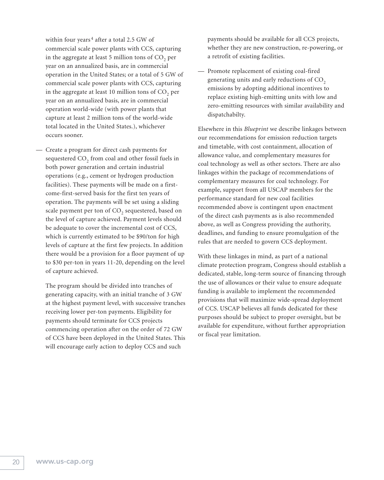within four years<sup>4</sup> after a total 2.5 GW of commercial scale power plants with CCS, capturing in the aggregate at least  $5$  million tons of  $CO<sub>2</sub>$  per year on an annualized basis, are in commercial operation in the United States; or a total of 5 GW of commercial scale power plants with CCS, capturing in the aggregate at least 10 million tons of  $CO<sub>2</sub>$  per year on an annualized basis, are in commercial operation world-wide (with power plants that capture at least 2 million tons of the world-wide total located in the United States.), whichever occurs sooner.

— Create a program for direct cash payments for sequestered  $CO<sub>2</sub>$  from coal and other fossil fuels in both power generation and certain industrial operations (e.g., cement or hydrogen production facilities). These payments will be made on a firstcome-first-served basis for the first ten years of operation. The payments will be set using a sliding scale payment per ton of CO<sub>2</sub> sequestered, based on the level of capture achieved. Payment levels should be adequate to cover the incremental cost of CCS, which is currently estimated to be \$90/ton for high levels of capture at the first few projects. In addition there would be a provision for a floor payment of up to \$30 per-ton in years 11-20, depending on the level of capture achieved.

The program should be divided into tranches of generating capacity, with an initial tranche of 3 GW at the highest payment level, with successive tranches receiving lower per-ton payments. Eligibility for payments should terminate for CCS projects commencing operation after on the order of 72 GW of CCS have been deployed in the United States. This will encourage early action to deploy CCS and such

payments should be available for all CCS projects, whether they are new construction, re-powering, or a retrofit of existing facilities.

— Promote replacement of existing coal-fired generating units and early reductions of CO<sub>2</sub> emissions by adopting additional incentives to replace existing high-emitting units with low and zero-emitting resources with similar availability and dispatchabilty.

Elsewhere in this *Blueprint* we describe linkages between our recommendations for emission reduction targets and timetable, with cost containment, allocation of allowance value, and complementary measures for coal technology as well as other sectors. There are also linkages within the package of recommendations of complementary measures for coal technology. For example, support from all USCAP members for the performance standard for new coal facilities recommended above is contingent upon enactment of the direct cash payments as is also recommended above, as well as Congress providing the authority, deadlines, and funding to ensure promulgation of the rules that are needed to govern CCS deployment.

With these linkages in mind, as part of a national climate protection program, Congress should establish a dedicated, stable, long-term source of financing through the use of allowances or their value to ensure adequate funding is available to implement the recommended provisions that will maximize wide-spread deployment of CCS. USCAP believes all funds dedicated for these purposes should be subject to proper oversight, but be available for expenditure, without further appropriation or fiscal year limitation.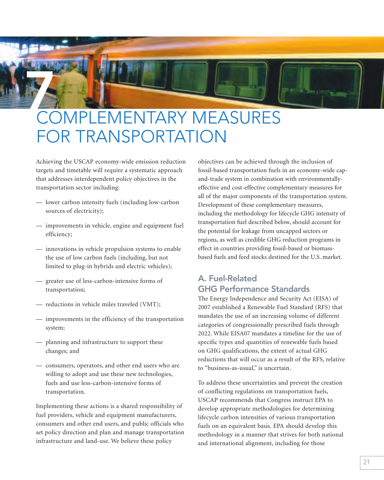## **7** COMPLEMENTARY MEASURES FOR TRANSPORTATION

Achieving the USCAP economy-wide emission reduction targets and timetable will require a systematic approach that addresses interdependent policy objectives in the transportation sector including:

- lower carbon intensity fuels (including low-carbon sources of electricity);
- improvements in vehicle, engine and equipment fuel efficiency;
- innovations in vehicle propulsion systems to enable the use of low carbon fuels (including, but not limited to plug-in hybrids and electric vehicles);
- greater use of less-carbon-intensive forms of transportation;
- reductions in vehicle miles traveled (VMT);
- improvements in the efficiency of the transportation system;
- planning and infrastructure to support these changes; and
- consumers, operators, and other end users who are willing to adopt and use these new technologies, fuels and use less-carbon-intensive forms of transportation.

Implementing these actions is a shared responsibility of fuel providers, vehicle and equipment manufacturers, consumers and other end users, and public officials who set policy direction and plan and manage transportation infrastructure and land-use. We believe these policy

objectives can be achieved through the inclusion of fossil-based transportation fuels in an economy-wide capand-trade system in combination with environmentallyeffective and cost-effective complementary measures for all of the major components of the transportation system. Development of these complementary measures, including the methodology for lifecycle GHG intensity of transportation fuel described below, should account for the potential for leakage from uncapped sectors or regions, as well as credible GHG reduction programs in effect in countries providing fossil-based or biomassbased fuels and feed stocks destined for the U.S. market.

#### **A. Fuel-Related GHG Performance Standards**

The Energy Independence and Security Act (EISA) of 2007 established a Renewable Fuel Standard (RFS) that mandates the use of an increasing volume of different categories of congressionally prescribed fuels through 2022. While EISA07 mandates a timeline for the use of specific types and quantities of renewable fuels based on GHG qualifications, the extent of actual GHG reductions that will occur as a result of the RFS, relative to "business-as-usual," is uncertain.

To address these uncertainties and prevent the creation of conflicting regulations on transportation fuels, USCAP recommends that Congress instruct EPA to develop appropriate methodologies for determining lifecycle carbon intensities of various transportation fuels on an equivalent basis. EPA should develop this methodology in a manner that strives for both national and international alignment, including for those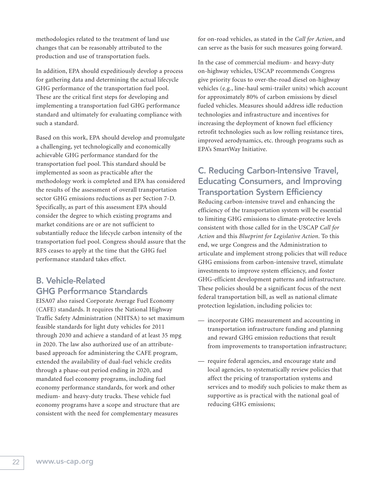methodologies related to the treatment of land use changes that can be reasonably attributed to the production and use of transportation fuels.

In addition, EPA should expeditiously develop a process for gathering data and determining the actual lifecycle GHG performance of the transportation fuel pool. These are the critical first steps for developing and implementing a transportation fuel GHG performance standard and ultimately for evaluating compliance with such a standard.

Based on this work, EPA should develop and promulgate a challenging, yet technologically and economically achievable GHG performance standard for the transportation fuel pool. This standard should be implemented as soon as practicable after the methodology work is completed and EPA has considered the results of the assessment of overall transportation sector GHG emissions reductions as per Section 7-D. Specifically, as part of this assessment EPA should consider the degree to which existing programs and market conditions are or are not sufficient to substantially reduce the lifecycle carbon intensity of the transportation fuel pool. Congress should assure that the RFS ceases to apply at the time that the GHG fuel performance standard takes effect.

#### **B. Vehicle-Related GHG Performance Standards**

EISA07 also raised Corporate Average Fuel Economy (CAFE) standards. It requires the National Highway Traffic Safety Administration (NHTSA) to set maximum feasible standards for light duty vehicles for 2011 through 2030 and achieve a standard of at least 35 mpg in 2020. The law also authorized use of an attributebased approach for administering the CAFE program, extended the availability of dual-fuel vehicle credits through a phase-out period ending in 2020, and mandated fuel economy programs, including fuel economy performance standards, for work and other medium- and heavy-duty trucks. These vehicle fuel economy programs have a scope and structure that are consistent with the need for complementary measures

for on-road vehicles, as stated in the *Call for Action*, and can serve as the basis for such measures going forward.

In the case of commercial medium- and heavy-duty on-highway vehicles, USCAP recommends Congress give priority focus to over-the-road diesel on-highway vehicles (e.g., line-haul semi-trailer units) which account for approximately 80% of carbon emissions by diesel fueled vehicles. Measures should address idle reduction technologies and infrastructure and incentives for increasing the deployment of known fuel efficiency retrofit technologies such as low rolling resistance tires, improved aerodynamics, etc. through programs such as EPA's SmartWay Initiative.

#### **C. Reducing Carbon-Intensive Travel, Educating Consumers, and Improving Transportation System Efficiency**

Reducing carbon-intensive travel and enhancing the efficiency of the transportation system will be essential to limiting GHG emissions to climate-protective levels consistent with those called for in the USCAP *Call for Action* and this *Blueprint for Legislative Action*. To this end, we urge Congress and the Administration to articulate and implement strong policies that will reduce GHG emissions from carbon-intensive travel, stimulate investments to improve system efficiency, and foster GHG-efficient development patterns and infrastructure. These policies should be a significant focus of the next federal transportation bill, as well as national climate protection legislation, including policies to:

- incorporate GHG measurement and accounting in transportation infrastructure funding and planning and reward GHG emission reductions that result from improvements to transportation infrastructure;
- require federal agencies, and encourage state and local agencies, to systematically review policies that affect the pricing of transportation systems and services and to modify such policies to make them as supportive as is practical with the national goal of reducing GHG emissions;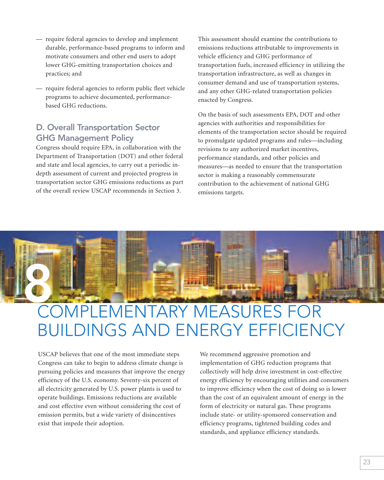- require federal agencies to develop and implement durable, performance-based programs to inform and motivate consumers and other end users to adopt lower GHG-emitting transportation choices and practices; and
- require federal agencies to reform public fleet vehicle programs to achieve documented, performancebased GHG reductions.

#### **D. Overall Transportation Sector GHG Management Policy**

Congress should require EPA, in collaboration with the Department of Transportation (DOT) and other federal and state and local agencies, to carry out a periodic indepth assessment of current and projected progress in transportation sector GHG emissions reductions as part of the overall review USCAP recommends in Section 3.

This assessment should examine the contributions to emissions reductions attributable to improvements in vehicle efficiency and GHG performance of transportation fuels, increased efficiency in utilizing the transportation infrastructure, as well as changes in consumer demand and use of transportation systems, and any other GHG-related transportation policies enacted by Congress.

On the basis of such assessments EPA, DOT and other agencies with authorities and responsibilities for elements of the transportation sector should be required to promulgate updated programs and rules—including revisions to any authorized market incentives, performance standards, and other policies and measures—as needed to ensure that the transportation sector is making a reasonably commensurate contribution to the achievement of national GHG emissions targets.



## COMPLEMENTARY MEASURES FOR BUILDINGS AND ENERGY EFFICIENCY

USCAP believes that one of the most immediate steps Congress can take to begin to address climate change is pursuing policies and measures that improve the energy efficiency of the U.S. economy. Seventy-six percent of all electricity generated by U.S. power plants is used to operate buildings. Emissions reductions are available and cost effective even without considering the cost of emission permits, but a wide variety of disincentives exist that impede their adoption.

We recommend aggressive promotion and implementation of GHG reduction programs that collectively will help drive investment in cost-effective energy efficiency by encouraging utilities and consumers to improve efficiency when the cost of doing so is lower than the cost of an equivalent amount of energy in the form of electricity or natural gas. These programs include state- or utility-sponsored conservation and efficiency programs, tightened building codes and standards, and appliance efficiency standards.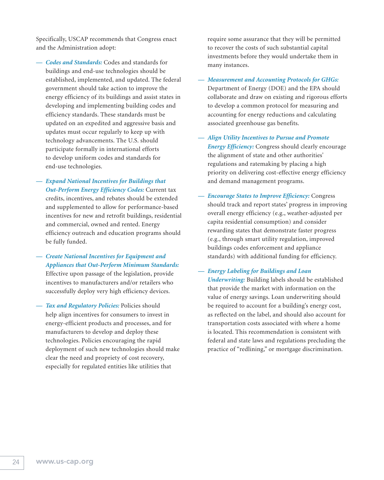Specifically, USCAP recommends that Congress enact and the Administration adopt:

- *Codes and Standards:* Codes and standards for buildings and end-use technologies should be established, implemented, and updated. The federal government should take action to improve the energy efficiency of its buildings and assist states in developing and implementing building codes and efficiency standards. These standards must be updated on an expedited and aggressive basis and updates must occur regularly to keep up with technology advancements. The U.S. should participate formally in international efforts to develop uniform codes and standards for end-use technologies.
- *— Expand National Incentives for Buildings that Out-Perform Energy Efficiency Codes:* Current tax credits, incentives, and rebates should be extended and supplemented to allow for performance-based incentives for new and retrofit buildings, residential and commercial, owned and rented. Energy efficiency outreach and education programs should be fully funded.
- *— Create National Incentives for Equipment and Appliances that Out-Perform Minimum Standards:*

Effective upon passage of the legislation, provide incentives to manufacturers and/or retailers who successfully deploy very high efficiency devices.

**Tax and Regulatory Policies: Policies should** help align incentives for consumers to invest in energy-efficient products and processes, and for manufacturers to develop and deploy these technologies. Policies encouraging the rapid deployment of such new technologies should make clear the need and propriety of cost recovery, especially for regulated entities like utilities that

require some assurance that they will be permitted to recover the costs of such substantial capital investments before they would undertake them in many instances.

- *Measurement and Accounting Protocols for GHGs:* Department of Energy (DOE) and the EPA should collaborate and draw on existing and rigorous efforts to develop a common protocol for measuring and accounting for energy reductions and calculating associated greenhouse gas benefits.
- *Align Utility Incentives to Pursue and Promote Energy Efficiency:* Congress should clearly encourage the alignment of state and other authorities' regulations and ratemaking by placing a high priority on delivering cost-effective energy efficiency and demand management programs.
- *Encourage States to Improve Efficiency: Congress* should track and report states' progress in improving overall energy efficiency (e.g., weather-adjusted per capita residential consumption) and consider rewarding states that demonstrate faster progress (e.g., through smart utility regulation, improved buildings codes enforcement and appliance standards) with additional funding for efficiency.

#### *— Energy Labeling for Buildings and Loan*

*Underwriting:* Building labels should be established that provide the market with information on the value of energy savings. Loan underwriting should be required to account for a building's energy cost, as reflected on the label, and should also account for transportation costs associated with where a home is located. This recommendation is consistent with federal and state laws and regulations precluding the practice of "redlining," or mortgage discrimination.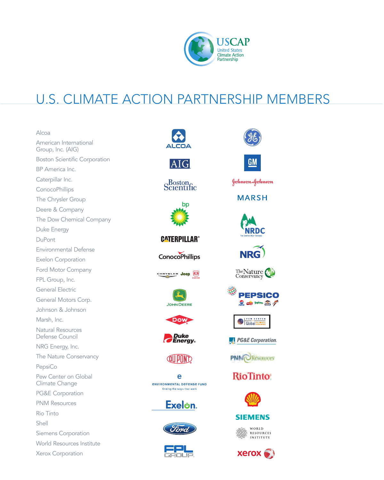

**Colors** Tropicana **Colorador** 

Global CLIMATE

**PG&E Corporation.** 

**PNM**OResources

**RioTinto** 

**SIEMENS** WORLD WORLD<br>ASSESSIOURCES

 $X$ erox $\odot$ 

**PEPSICO** 

 $\underline{GM}$ 

Johnson&Johnson

**MARSH** 

**NRDC** 

NRG)

The Nature

\$

### U.S. CLIMATE ACTION PARTNERSHIP MEMBERS

| Alcoa                                       |                                               |  |
|---------------------------------------------|-----------------------------------------------|--|
| American International<br>Group, Inc. (AIG) |                                               |  |
| <b>Boston Scientific Corporation</b>        |                                               |  |
| BP America Inc.                             |                                               |  |
| Caterpillar Inc.                            | Boston <sub>c</sub><br>entific                |  |
| ConocoPhillips                              |                                               |  |
| The Chrysler Group                          | bp                                            |  |
| Deere & Company                             |                                               |  |
| The Dow Chemical Company                    |                                               |  |
| Duke Energy                                 |                                               |  |
| DuPont                                      | <b>GATERPILLAR®</b>                           |  |
| <b>Environmental Defense</b>                |                                               |  |
| <b>Exelon Corporation</b>                   | <b>ConocoPhillips</b>                         |  |
| Ford Motor Company                          |                                               |  |
| FPL Group, Inc.                             | CHRYSLER Jeep                                 |  |
| General Electric                            | <b>JOHN DEERE</b>                             |  |
| General Motors Corp.                        |                                               |  |
| Johnson & Johnson                           |                                               |  |
| Marsh, Inc.                                 | o                                             |  |
| <b>Natural Resources</b><br>Defense Council | Duke<br><b>Energy</b> 。                       |  |
| NRG Energy, Inc.                            |                                               |  |
| The Nature Conservancy                      |                                               |  |
| PepsiCo                                     |                                               |  |
| Pew Center on Global<br>Climate Change      | e<br><b><i>ENVIRONMENTAL DEFENSE FUND</i></b> |  |
| <b>PG&amp;E Corporation</b>                 | finding the ways that work                    |  |
| <b>PNM Resources</b>                        | Exel⊍n.                                       |  |
| Rio Tinto                                   |                                               |  |
| Shell                                       |                                               |  |
| Siemens Corporation                         |                                               |  |
| <b>World Resources Institute</b>            |                                               |  |
| Xerox Corporation                           |                                               |  |